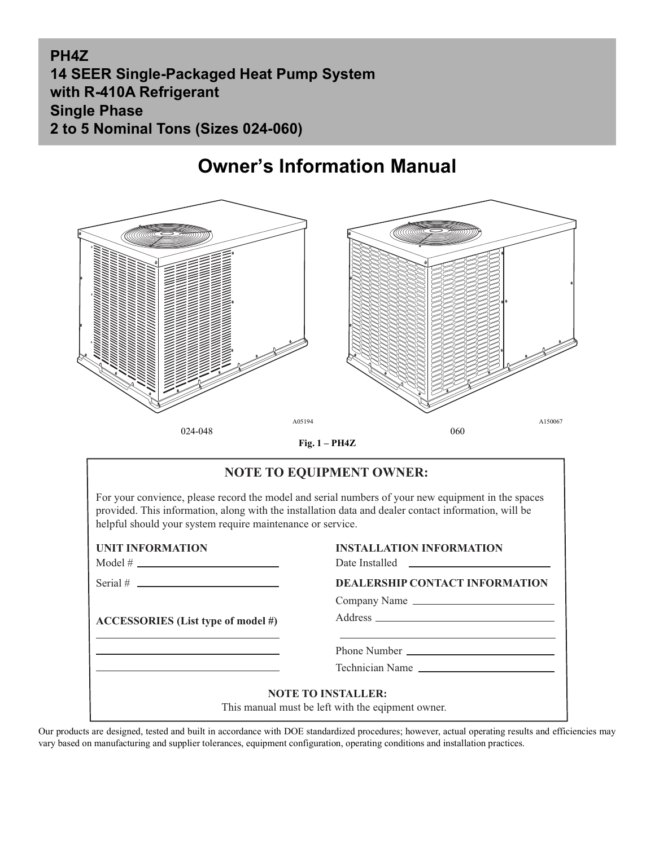### **PH4Z 14 SEER Single-Packaged Heat Pump System with R-410A Refrigerant Single Phase 2 to 5 Nominal Tons (Sizes 024-060)**

## **Owner's Information Manual**



**Fig. 1 – PH4Z**

| <b>NOTE TO EQUIPMENT OWNER:</b><br>For your convience, please record the model and serial numbers of your new equipment in the spaces<br>provided. This information, along with the installation data and dealer contact information, will be<br>helpful should your system require maintenance or service. |                                                                                                                                                                                                                                      |  |
|-------------------------------------------------------------------------------------------------------------------------------------------------------------------------------------------------------------------------------------------------------------------------------------------------------------|--------------------------------------------------------------------------------------------------------------------------------------------------------------------------------------------------------------------------------------|--|
|                                                                                                                                                                                                                                                                                                             |                                                                                                                                                                                                                                      |  |
| $Model # \_$                                                                                                                                                                                                                                                                                                | Date Installed <u>the contract of the set of the set of the set of the set of the set of the set of the set of the set of the set of the set of the set of the set of the set of the set of the set of the set of the set of the</u> |  |
| Serial # $\qquad \qquad$                                                                                                                                                                                                                                                                                    | <b>DEALERSHIP CONTACT INFORMATION</b>                                                                                                                                                                                                |  |
|                                                                                                                                                                                                                                                                                                             | Company Name                                                                                                                                                                                                                         |  |
| ACCESSORIES (List type of model #)                                                                                                                                                                                                                                                                          |                                                                                                                                                                                                                                      |  |
|                                                                                                                                                                                                                                                                                                             |                                                                                                                                                                                                                                      |  |
| <u> 1989 - Johann Stein, mars an de Frankrik (f. 1989)</u>                                                                                                                                                                                                                                                  | Technician Name                                                                                                                                                                                                                      |  |
| <b>NOTE TO INSTALLER:</b><br>This manual must be left with the eqipment owner.                                                                                                                                                                                                                              |                                                                                                                                                                                                                                      |  |

Our products are designed, tested and built in accordance with DOE standardized procedures; however, actual operating results and efficiencies may vary based on manufacturing and supplier tolerances, equipment configuration, operating conditions and installation practices.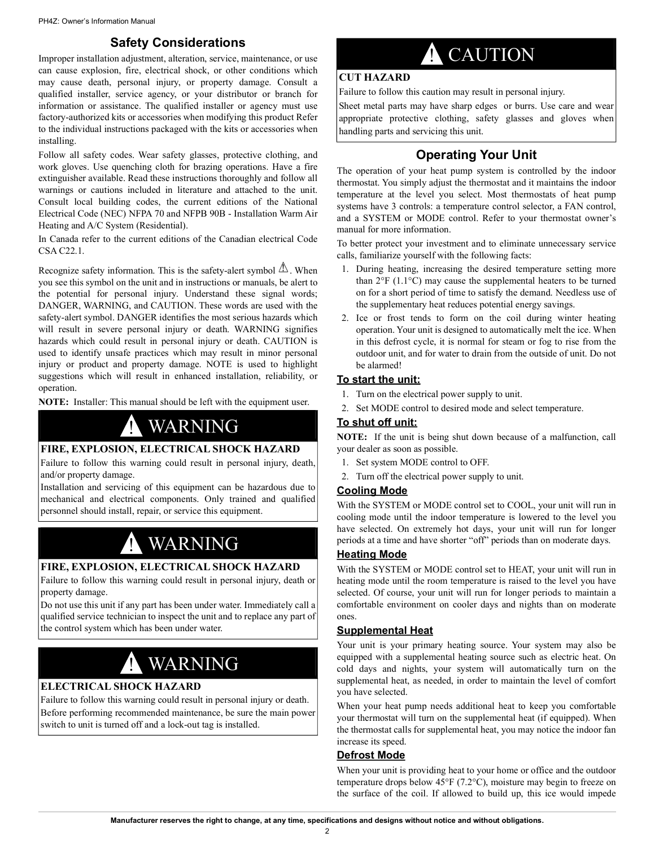### **Safety Considerations**

Improper installation adjustment, alteration, service, maintenance, or use can cause explosion, fire, electrical shock, or other conditions which may cause death, personal injury, or property damage. Consult a qualified installer, service agency, or your distributor or branch for information or assistance. The qualified installer or agency must use factory-authorized kits or accessories when modifying this product Refer to the individual instructions packaged with the kits or accessories when installing.

Follow all safety codes. Wear safety glasses, protective clothing, and work gloves. Use quenching cloth for brazing operations. Have a fire extinguisher available. Read these instructions thoroughly and follow all warnings or cautions included in literature and attached to the unit. Consult local building codes, the current editions of the National Electrical Code (NEC) NFPA 70 and NFPB 90B - Installation Warm Air Heating and A/C System (Residential).

In Canada refer to the current editions of the Canadian electrical Code CSA C22.1.

Recognize safety information. This is the safety-alert symbol  $\Delta$ . When you see this symbol on the unit and in instructions or manuals, be alert to the potential for personal injury. Understand these signal words; DANGER, WARNING, and CAUTION. These words are used with the safety-alert symbol. DANGER identifies the most serious hazards which will result in severe personal injury or death. WARNING signifies hazards which could result in personal injury or death. CAUTION is used to identify unsafe practices which may result in minor personal injury or product and property damage. NOTE is used to highlight suggestions which will result in enhanced installation, reliability, or operation.

**NOTE:** Installer: This manual should be left with the equipment user.

## ! WARNING

#### **FIRE, EXPLOSION, ELECTRICAL SHOCK HAZARD**

Failure to follow this warning could result in personal injury, death, and/or property damage.

Installation and servicing of this equipment can be hazardous due to mechanical and electrical components. Only trained and qualified personnel should install, repair, or service this equipment.

# **WARNING**

#### **FIRE, EXPLOSION, ELECTRICAL SHOCK HAZARD**

Failure to follow this warning could result in personal injury, death or property damage.

Do not use this unit if any part has been under water. Immediately call a qualified service technician to inspect the unit and to replace any part of the control system which has been under water.

# ! WARNING

#### **ELECTRICAL SHOCK HAZARD**

Failure to follow this warning could result in personal injury or death. Before performing recommended maintenance, be sure the main power switch to unit is turned off and a lock-out tag is installed.

# **CAUTION**

#### **CUT HAZARD**

Failure to follow this caution may result in personal injury.

Sheet metal parts may have sharp edges or burrs. Use care and wear appropriate protective clothing, safety glasses and gloves when handling parts and servicing this unit.

### **Operating Your Unit**

The operation of your heat pump system is controlled by the indoor thermostat. You simply adjust the thermostat and it maintains the indoor temperature at the level you select. Most thermostats of heat pump systems have 3 controls: a temperature control selector, a FAN control, and a SYSTEM or MODE control. Refer to your thermostat owner's manual for more information.

To better protect your investment and to eliminate unnecessary service calls, familiarize yourself with the following facts:

- 1. During heating, increasing the desired temperature setting more than 2°F (1.1°C) may cause the supplemental heaters to be turned on for a short period of time to satisfy the demand. Needless use of the supplementary heat reduces potential energy savings.
- 2. Ice or frost tends to form on the coil during winter heating operation. Your unit is designed to automatically melt the ice. When in this defrost cycle, it is normal for steam or fog to rise from the outdoor unit, and for water to drain from the outside of unit. Do not be alarmed!

#### **To start the unit:**

- 1. Turn on the electrical power supply to unit.
- 2. Set MODE control to desired mode and select temperature.

#### **To shut off unit:**

**NOTE:** If the unit is being shut down because of a malfunction, call your dealer as soon as possible.

- 1. Set system MODE control to OFF.
- 2. Turn off the electrical power supply to unit.

#### **Cooling Mode**

With the SYSTEM or MODE control set to COOL, your unit will run in cooling mode until the indoor temperature is lowered to the level you have selected. On extremely hot days, your unit will run for longer periods at a time and have shorter "off" periods than on moderate days.

#### **Heating Mode**

With the SYSTEM or MODE control set to HEAT, your unit will run in heating mode until the room temperature is raised to the level you have selected. Of course, your unit will run for longer periods to maintain a comfortable environment on cooler days and nights than on moderate ones.

#### **Supplemental Heat**

Your unit is your primary heating source. Your system may also be equipped with a supplemental heating source such as electric heat. On cold days and nights, your system will automatically turn on the supplemental heat, as needed, in order to maintain the level of comfort you have selected.

When your heat pump needs additional heat to keep you comfortable your thermostat will turn on the supplemental heat (if equipped). When the thermostat calls for supplemental heat, you may notice the indoor fan increase its speed.

#### **Defrost Mode**

When your unit is providing heat to your home or office and the outdoor temperature drops below 45°F (7.2°C), moisture may begin to freeze on the surface of the coil. If allowed to build up, this ice would impede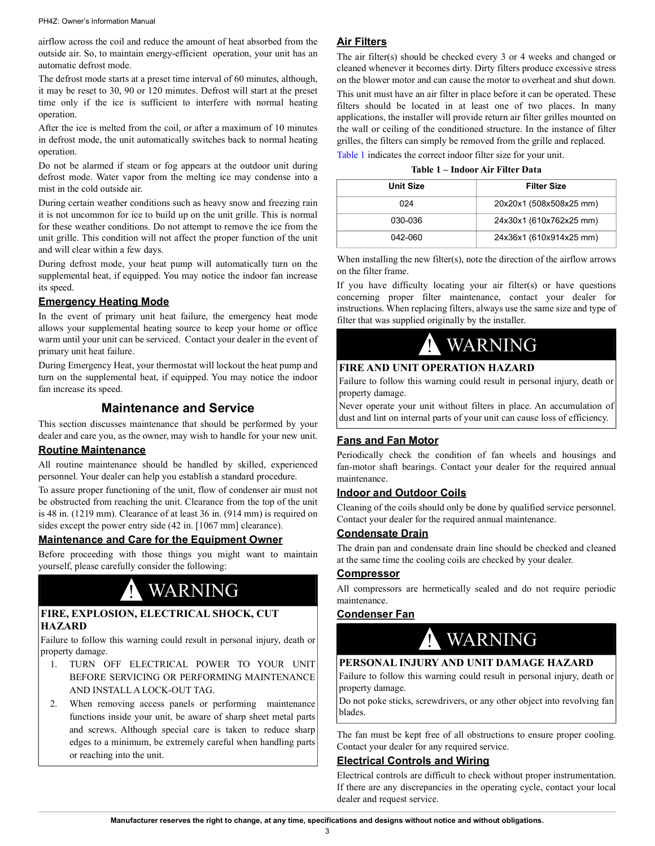#### PH4Z: Owner's Information Manual

airflow across the coil and reduce the amount of heat absorbed from the outside air. So, to maintain energy-efficient operation, your unit has an automatic defrost mode.

The defrost mode starts at a preset time interval of 60 minutes, although, it may be reset to 30, 90 or 120 minutes. Defrost will start at the preset time only if the ice is sufficient to interfere with normal heating operation.

After the ice is melted from the coil, or after a maximum of 10 minutes in defrost mode, the unit automatically switches back to normal heating operation.

Do not be alarmed if steam or fog appears at the outdoor unit during defrost mode. Water vapor from the melting ice may condense into a mist in the cold outside air.

During certain weather conditions such as heavy snow and freezing rain it is not uncommon for ice to build up on the unit grille. This is normal for these weather conditions. Do not attempt to remove the ice from the unit grille. This condition will not affect the proper function of the unit and will clear within a few days.

During defrost mode, your heat pump will automatically turn on the supplemental heat, if equipped. You may notice the indoor fan increase its speed.

### **Emergency Heating Mode**

In the event of primary unit heat failure, the emergency heat mode allows your supplemental heating source to keep your home or office warm until your unit can be serviced. Contact your dealer in the event of primary unit heat failure.

During Emergency Heat, your thermostat will lockout the heat pump and turn on the supplemental heat, if equipped. You may notice the indoor fan increase its speed.

### **Maintenance and Service**

This section discusses maintenance that should be performed by your dealer and care you, as the owner, may wish to handle for your new unit.

#### **Routine Maintenance**

All routine maintenance should be handled by skilled, experienced personnel. Your dealer can help you establish a standard procedure.

To assure proper functioning of the unit, flow of condenser air must not be obstructed from reaching the unit. Clearance from the top of the unit is 48 in. (1219 mm). Clearance of at least 36 in. (914 mm) is required on sides except the power entry side (42 in. [1067 mm] clearance).

#### **Maintenance and Care for the Equipment Owner**

Before proceeding with those things you might want to maintain yourself, please carefully consider the following:

### **WARNING**

#### **FIRE, EXPLOSION, ELECTRICAL SHOCK, CUT HAZARD**

Failure to follow this warning could result in personal injury, death or property damage.

- 1. TURN OFF ELECTRICAL POWER TO YOUR UNIT BEFORE SERVICING OR PERFORMING MAINTENANCE AND INSTALL A LOCK-OUT TAG.
- 2. When removing access panels or performing maintenance functions inside your unit, be aware of sharp sheet metal parts and screws. Although special care is taken to reduce sharp edges to a minimum, be extremely careful when handling parts or reaching into the unit.

#### **Air Filters**

The air filter(s) should be checked every 3 or 4 weeks and changed or cleaned whenever it becomes dirty. Dirty filters produce excessive stress on the blower motor and can cause the motor to overheat and shut down. This unit must have an air filter in place before it can be operated. These filters should be located in at least one of two places. In many applications, the installer will provide return air filter grilles mounted on the wall or ceiling of the conditioned structure. In the instance of filter grilles, the filters can simply be removed from the grille and replaced. Table 1 indicates the correct indoor filter size for your unit.

| <b>Unit Size</b> | <b>Filter Size</b>      |
|------------------|-------------------------|
| 024              | 20x20x1 (508x508x25 mm) |
| 030-036          | 24x30x1 (610x762x25 mm) |
| 042-060          | 24x36x1 (610x914x25 mm) |

When installing the new filter(s), note the direction of the airflow arrows on the filter frame.

If you have difficulty locating your air filter(s) or have questions concerning proper filter maintenance, contact your dealer for instructions. When replacing filters, always use the same size and type of filter that was supplied originally by the installer.

# ! WARNING

#### **FIRE AND UNIT OPERATION HAZARD**

Failure to follow this warning could result in personal injury, death or property damage.

Never operate your unit without filters in place. An accumulation of dust and lint on internal parts of your unit can cause loss of efficiency.

#### **Fans and Fan Motor**

Periodically check the condition of fan wheels and housings and fan-motor shaft bearings. Contact your dealer for the required annual maintenance.

#### **Indoor and Outdoor Coils**

Cleaning of the coils should only be done by qualified service personnel. Contact your dealer for the required annual maintenance.

#### **Condensate Drain**

The drain pan and condensate drain line should be checked and cleaned at the same time the cooling coils are checked by your dealer.

#### **Compressor**

All compressors are hermetically sealed and do not require periodic maintenance.

#### **Condenser Fan**

## **WARNING**

#### **PERSONAL INJURY AND UNIT DAMAGE HAZARD**

Failure to follow this warning could result in personal injury, death or property damage.

Do not poke sticks, screwdrivers, or any other object into revolving fan blades.

The fan must be kept free of all obstructions to ensure proper cooling. Contact your dealer for any required service.

#### **Electrical Controls and Wiring**

Electrical controls are difficult to check without proper instrumentation. If there are any discrepancies in the operating cycle, contact your local dealer and request service.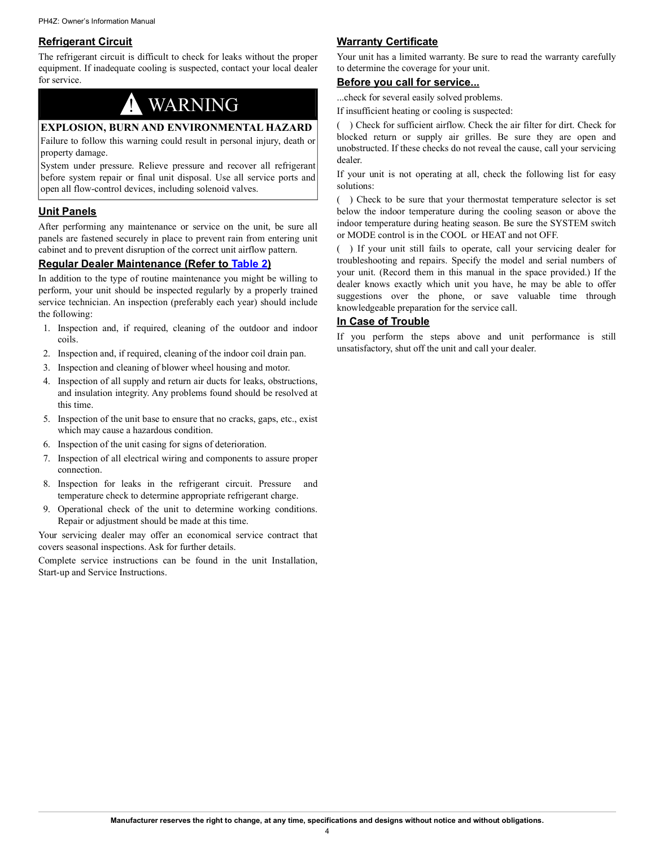#### **Refrigerant Circuit**

The refrigerant circuit is difficult to check for leaks without the proper equipment. If inadequate cooling is suspected, contact your local dealer for service.

# **WARNING**

#### **EXPLOSION, BURN AND ENVIRONMENTAL HAZARD**

Failure to follow this warning could result in personal injury, death or property damage.

System under pressure. Relieve pressure and recover all refrigerant before system repair or final unit disposal. Use all service ports and open all flow-control devices, including solenoid valves.

#### **Unit Panels**

After performing any maintenance or service on the unit, be sure all panels are fastened securely in place to prevent rain from entering unit cabinet and to prevent disruption of the correct unit airflow pattern.

#### **Regular Dealer Maintenance (Refer to [Table](#page-4-0) 2)**

In addition to the type of routine maintenance you might be willing to perform, your unit should be inspected regularly by a properly trained service technician. An inspection (preferably each year) should include the following:

- 1. Inspection and, if required, cleaning of the outdoor and indoor coils.
- 2. Inspection and, if required, cleaning of the indoor coil drain pan.
- 3. Inspection and cleaning of blower wheel housing and motor.
- 4. Inspection of all supply and return air ducts for leaks, obstructions, and insulation integrity. Any problems found should be resolved at this time.
- 5. Inspection of the unit base to ensure that no cracks, gaps, etc., exist which may cause a hazardous condition.
- 6. Inspection of the unit casing for signs of deterioration.
- 7. Inspection of all electrical wiring and components to assure proper connection.
- 8. Inspection for leaks in the refrigerant circuit. Pressure and temperature check to determine appropriate refrigerant charge.
- 9. Operational check of the unit to determine working conditions. Repair or adjustment should be made at this time.

Your servicing dealer may offer an economical service contract that covers seasonal inspections. Ask for further details.

Complete service instructions can be found in the unit Installation, Start-up and Service Instructions.

#### **Warranty Certificate**

Your unit has a limited warranty. Be sure to read the warranty carefully to determine the coverage for your unit.

#### **Before you call for service...**

...check for several easily solved problems.

If insufficient heating or cooling is suspected:

( ) Check for sufficient airflow. Check the air filter for dirt. Check for blocked return or supply air grilles. Be sure they are open and unobstructed. If these checks do not reveal the cause, call your servicing dealer.

If your unit is not operating at all, check the following list for easy solutions:

( ) Check to be sure that your thermostat temperature selector is set below the indoor temperature during the cooling season or above the indoor temperature during heating season. Be sure the SYSTEM switch or MODE control is in the COOL or HEAT and not OFF.

( ) If your unit still fails to operate, call your servicing dealer for troubleshooting and repairs. Specify the model and serial numbers of your unit. (Record them in this manual in the space provided.) If the dealer knows exactly which unit you have, he may be able to offer suggestions over the phone, or save valuable time through knowledgeable preparation for the service call.

#### **In Case of Trouble**

If you perform the steps above and unit performance is still unsatisfactory, shut off the unit and call your dealer.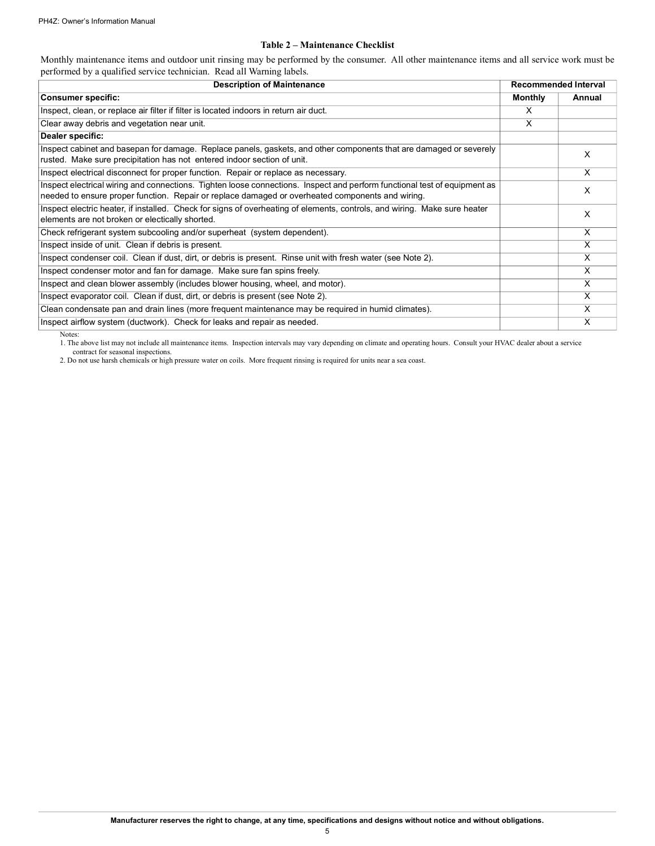#### **Table 2 – Maintenance Checklist**

<span id="page-4-0"></span>Monthly maintenance items and outdoor unit rinsing may be performed by the consumer. All other maintenance items and all service work must be performed by a qualified service technician. Read all Warning labels.

| <b>Description of Maintenance</b>                                                                                                                                                                                             |                | <b>Recommended Interval</b> |  |
|-------------------------------------------------------------------------------------------------------------------------------------------------------------------------------------------------------------------------------|----------------|-----------------------------|--|
| <b>Consumer specific:</b>                                                                                                                                                                                                     | <b>Monthly</b> | Annual                      |  |
| Inspect, clean, or replace air filter if filter is located indoors in return air duct.                                                                                                                                        | x              |                             |  |
| Clear away debris and vegetation near unit.                                                                                                                                                                                   | X              |                             |  |
| Dealer specific:                                                                                                                                                                                                              |                |                             |  |
| Inspect cabinet and basepan for damage. Replace panels, gaskets, and other components that are damaged or severely<br>rusted. Make sure precipitation has not entered indoor section of unit.                                 |                | x                           |  |
| Inspect electrical disconnect for proper function. Repair or replace as necessary.                                                                                                                                            |                | X                           |  |
| Inspect electrical wiring and connections. Tighten loose connections. Inspect and perform functional test of equipment as<br>needed to ensure proper function. Repair or replace damaged or overheated components and wiring. |                | X                           |  |
| Inspect electric heater, if installed. Check for signs of overheating of elements, controls, and wiring. Make sure heater<br>elements are not broken or electically shorted.                                                  |                | X                           |  |
| Check refrigerant system subcooling and/or superheat (system dependent).                                                                                                                                                      |                | X                           |  |
| Inspect inside of unit. Clean if debris is present.                                                                                                                                                                           |                | X                           |  |
| Inspect condenser coil. Clean if dust, dirt, or debris is present. Rinse unit with fresh water (see Note 2).                                                                                                                  |                | X                           |  |
| Inspect condenser motor and fan for damage. Make sure fan spins freely.                                                                                                                                                       |                | X                           |  |
| Inspect and clean blower assembly (includes blower housing, wheel, and motor).                                                                                                                                                |                | X                           |  |
| Inspect evaporator coil. Clean if dust, dirt, or debris is present (see Note 2).                                                                                                                                              |                | X                           |  |
| Clean condensate pan and drain lines (more frequent maintenance may be required in humid climates).                                                                                                                           |                | X                           |  |
| Inspect airflow system (ductwork). Check for leaks and repair as needed.                                                                                                                                                      |                | X                           |  |

Notes:

1. The above list may not include all maintenance items. Inspection intervals may vary depending on climate and operating hours. Consult your HVAC dealer about a service contract for seasonal inspections.

2. Do not use harsh chemicals or high pressure water on coils. More frequent rinsing is required for units near a sea coast.